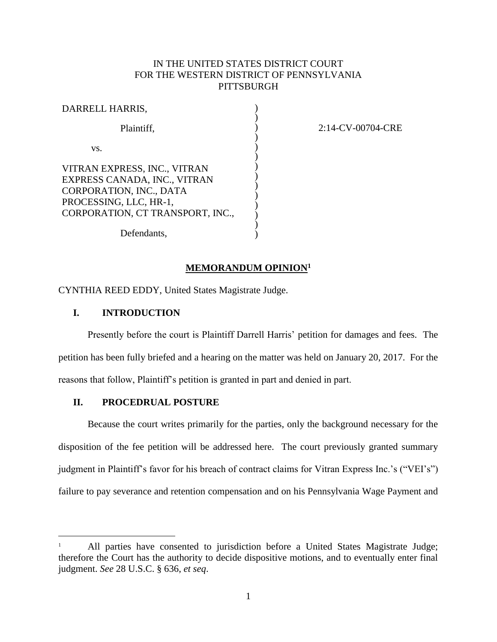# IN THE UNITED STATES DISTRICT COURT FOR THE WESTERN DISTRICT OF PENNSYLVANIA **PITTSBURGH**

)

| DARRELL HARRIS,                                                                                                                                       |  |
|-------------------------------------------------------------------------------------------------------------------------------------------------------|--|
| Plaintiff,                                                                                                                                            |  |
| VS.                                                                                                                                                   |  |
| VITRAN EXPRESS, INC., VITRAN<br>EXPRESS CANADA, INC., VITRAN<br>CORPORATION, INC., DATA<br>PROCESSING, LLC, HR-1,<br>CORPORATION, CT TRANSPORT, INC., |  |
| Defendants,                                                                                                                                           |  |

2:14-CV-00704-CRE

#### **MEMORANDUM OPINION<sup>1</sup>**

CYNTHIA REED EDDY, United States Magistrate Judge.

## **I. INTRODUCTION**

 $\overline{a}$ 

Presently before the court is Plaintiff Darrell Harris' petition for damages and fees. The petition has been fully briefed and a hearing on the matter was held on January 20, 2017. For the reasons that follow, Plaintiff's petition is granted in part and denied in part.

#### **II. PROCEDRUAL POSTURE**

Because the court writes primarily for the parties, only the background necessary for the disposition of the fee petition will be addressed here. The court previously granted summary judgment in Plaintiff's favor for his breach of contract claims for Vitran Express Inc.'s ("VEI's") failure to pay severance and retention compensation and on his Pennsylvania Wage Payment and

All parties have consented to jurisdiction before a United States Magistrate Judge; therefore the Court has the authority to decide dispositive motions, and to eventually enter final judgment. *See* 28 U.S.C. § 636, *et seq*.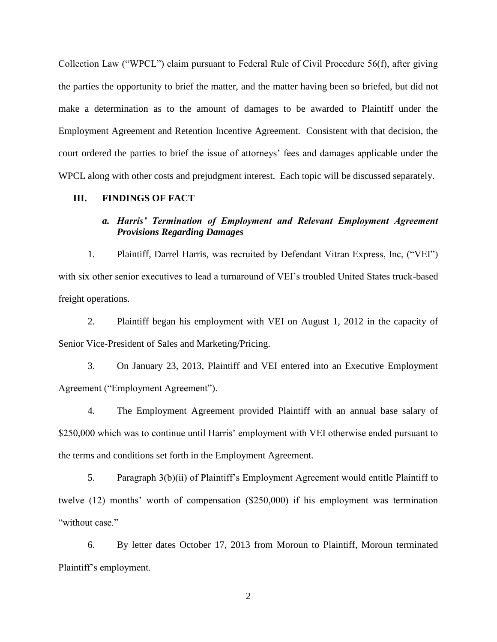Collection Law ("WPCL") claim pursuant to Federal Rule of Civil Procedure 56(f), after giving the parties the opportunity to brief the matter, and the matter having been so briefed, but did not make a determination as to the amount of damages to be awarded to Plaintiff under the Employment Agreement and Retention Incentive Agreement. Consistent with that decision, the court ordered the parties to brief the issue of attorneys' fees and damages applicable under the WPCL along with other costs and prejudgment interest. Each topic will be discussed separately.

## **III. FINDINGS OF FACT**

## *a. Harris' Termination of Employment and Relevant Employment Agreement Provisions Regarding Damages*

1. Plaintiff, Darrel Harris, was recruited by Defendant Vitran Express, Inc, ("VEI") with six other senior executives to lead a turnaround of VEI's troubled United States truck-based freight operations.

2. Plaintiff began his employment with VEI on August 1, 2012 in the capacity of Senior Vice-President of Sales and Marketing/Pricing.

3. On January 23, 2013, Plaintiff and VEI entered into an Executive Employment Agreement ("Employment Agreement").

4. The Employment Agreement provided Plaintiff with an annual base salary of \$250,000 which was to continue until Harris' employment with VEI otherwise ended pursuant to the terms and conditions set forth in the Employment Agreement.

5. Paragraph 3(b)(ii) of Plaintiff's Employment Agreement would entitle Plaintiff to twelve (12) months' worth of compensation (\$250,000) if his employment was termination "without case."

6. By letter dates October 17, 2013 from Moroun to Plaintiff, Moroun terminated Plaintiff's employment.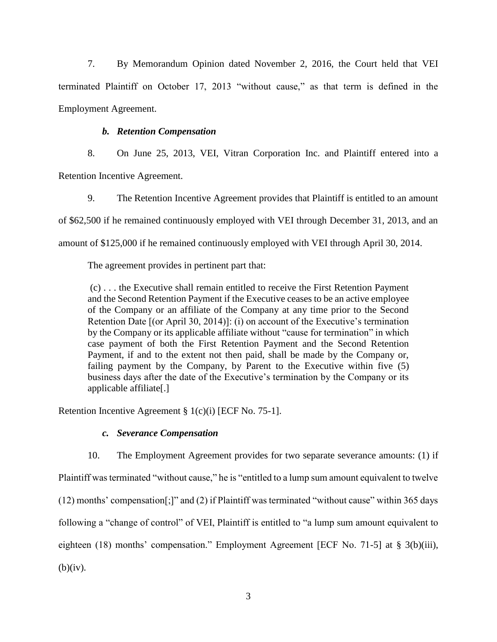7. By Memorandum Opinion dated November 2, 2016, the Court held that VEI terminated Plaintiff on October 17, 2013 "without cause," as that term is defined in the Employment Agreement.

# *b. Retention Compensation*

8. On June 25, 2013, VEI, Vitran Corporation Inc. and Plaintiff entered into a Retention Incentive Agreement.

9. The Retention Incentive Agreement provides that Plaintiff is entitled to an amount of \$62,500 if he remained continuously employed with VEI through December 31, 2013, and an amount of \$125,000 if he remained continuously employed with VEI through April 30, 2014.

The agreement provides in pertinent part that:

(c) . . . the Executive shall remain entitled to receive the First Retention Payment and the Second Retention Payment if the Executive ceases to be an active employee of the Company or an affiliate of the Company at any time prior to the Second Retention Date [(or April 30, 2014)]: (i) on account of the Executive's termination by the Company or its applicable affiliate without "cause for termination" in which case payment of both the First Retention Payment and the Second Retention Payment, if and to the extent not then paid, shall be made by the Company or, failing payment by the Company, by Parent to the Executive within five (5) business days after the date of the Executive's termination by the Company or its applicable affiliate[.]

Retention Incentive Agreement § 1(c)(i) [ECF No. 75-1].

# *c. Severance Compensation*

10. The Employment Agreement provides for two separate severance amounts: (1) if Plaintiff was terminated "without cause," he is "entitled to a lump sum amount equivalent to twelve (12) months' compensation[;]" and (2) if Plaintiff was terminated "without cause" within 365 days following a "change of control" of VEI, Plaintiff is entitled to "a lump sum amount equivalent to eighteen (18) months' compensation." Employment Agreement [ECF No. 71-5] at § 3(b)(iii),  $(b)(iv)$ .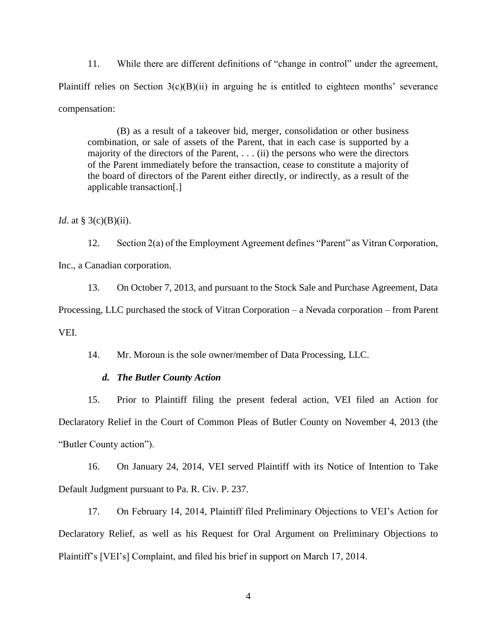11. While there are different definitions of "change in control" under the agreement, Plaintiff relies on Section  $3(c)(B)(ii)$  in arguing he is entitled to eighteen months' severance compensation:

(B) as a result of a takeover bid, merger, consolidation or other business combination, or sale of assets of the Parent, that in each case is supported by a majority of the directors of the Parent, . . . (ii) the persons who were the directors of the Parent immediately before the transaction, cease to constitute a majority of the board of directors of the Parent either directly, or indirectly, as a result of the applicable transaction[.]

*Id.* at § 3(c)(B)(ii).

12. Section 2(a) of the Employment Agreement defines "Parent" as Vitran Corporation, Inc., a Canadian corporation.

13. On October 7, 2013, and pursuant to the Stock Sale and Purchase Agreement, Data Processing, LLC purchased the stock of Vitran Corporation – a Nevada corporation – from Parent VEI.

14. Mr. Moroun is the sole owner/member of Data Processing, LLC.

#### *d. The Butler County Action*

15. Prior to Plaintiff filing the present federal action, VEI filed an Action for Declaratory Relief in the Court of Common Pleas of Butler County on November 4, 2013 (the "Butler County action").

16. On January 24, 2014, VEI served Plaintiff with its Notice of Intention to Take Default Judgment pursuant to Pa. R. Civ. P. 237.

17. On February 14, 2014, Plaintiff filed Preliminary Objections to VEI's Action for Declaratory Relief, as well as his Request for Oral Argument on Preliminary Objections to Plaintiff's [VEI's] Complaint, and filed his brief in support on March 17, 2014.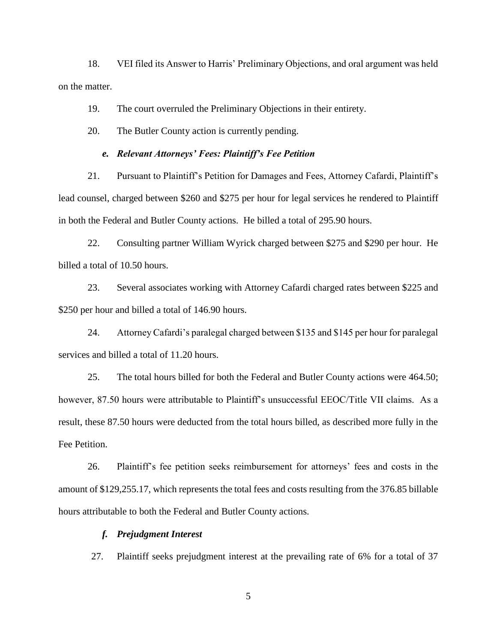18. VEI filed its Answer to Harris' Preliminary Objections, and oral argument was held on the matter.

19. The court overruled the Preliminary Objections in their entirety.

20. The Butler County action is currently pending.

#### *e. Relevant Attorneys' Fees: Plaintiff's Fee Petition*

21. Pursuant to Plaintiff's Petition for Damages and Fees, Attorney Cafardi, Plaintiff's lead counsel, charged between \$260 and \$275 per hour for legal services he rendered to Plaintiff in both the Federal and Butler County actions. He billed a total of 295.90 hours.

22. Consulting partner William Wyrick charged between \$275 and \$290 per hour. He billed a total of 10.50 hours.

23. Several associates working with Attorney Cafardi charged rates between \$225 and \$250 per hour and billed a total of 146.90 hours.

24. Attorney Cafardi's paralegal charged between \$135 and \$145 per hour for paralegal services and billed a total of 11.20 hours.

25. The total hours billed for both the Federal and Butler County actions were 464.50; however, 87.50 hours were attributable to Plaintiff's unsuccessful EEOC/Title VII claims. As a result, these 87.50 hours were deducted from the total hours billed, as described more fully in the Fee Petition.

26. Plaintiff's fee petition seeks reimbursement for attorneys' fees and costs in the amount of \$129,255.17, which represents the total fees and costs resulting from the 376.85 billable hours attributable to both the Federal and Butler County actions.

#### *f. Prejudgment Interest*

27. Plaintiff seeks prejudgment interest at the prevailing rate of 6% for a total of 37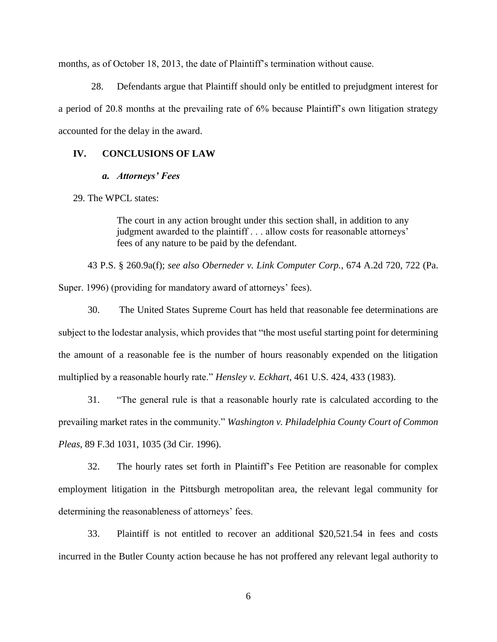months, as of October 18, 2013, the date of Plaintiff's termination without cause.

28. Defendants argue that Plaintiff should only be entitled to prejudgment interest for a period of 20.8 months at the prevailing rate of 6% because Plaintiff's own litigation strategy accounted for the delay in the award.

### **IV. CONCLUSIONS OF LAW**

#### *a. Attorneys' Fees*

29. The WPCL states:

The court in any action brought under this section shall, in addition to any judgment awarded to the plaintiff . . . allow costs for reasonable attorneys' fees of any nature to be paid by the defendant.

43 P.S. § 260.9a(f); *see also Oberneder v. Link Computer Corp.*, 674 A.2d 720, 722 (Pa. Super. 1996) (providing for mandatory award of attorneys' fees).

30. The United States Supreme Court has held that reasonable fee determinations are subject to the lodestar analysis, which provides that "the most useful starting point for determining the amount of a reasonable fee is the number of hours reasonably expended on the litigation multiplied by a reasonable hourly rate." *Hensley v. Eckhart*, 461 U.S. 424, 433 (1983).

31. "The general rule is that a reasonable hourly rate is calculated according to the prevailing market rates in the community." *Washington v. Philadelphia County Court of Common Pleas*, 89 F.3d 1031, 1035 (3d Cir. 1996).

32. The hourly rates set forth in Plaintiff's Fee Petition are reasonable for complex employment litigation in the Pittsburgh metropolitan area, the relevant legal community for determining the reasonableness of attorneys' fees.

33. Plaintiff is not entitled to recover an additional \$20,521.54 in fees and costs incurred in the Butler County action because he has not proffered any relevant legal authority to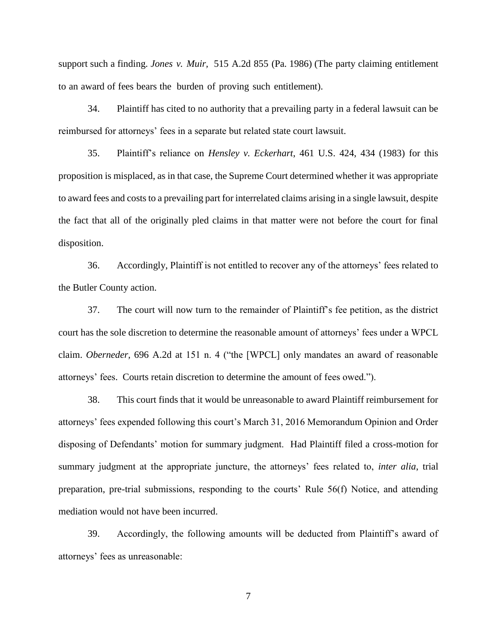support such a finding. *Jones v. Muir,* 515 A.2d 855 (Pa. 1986) (The party claiming entitlement to an award of fees bears the burden of proving such entitlement).

34. Plaintiff has cited to no authority that a prevailing party in a federal lawsuit can be reimbursed for attorneys' fees in a separate but related state court lawsuit.

35. Plaintiff's reliance on *Hensley v. Eckerhart*, 461 U.S. 424, 434 (1983) for this proposition is misplaced, as in that case, the Supreme Court determined whether it was appropriate to award fees and costs to a prevailing part for interrelated claims arising in a single lawsuit, despite the fact that all of the originally pled claims in that matter were not before the court for final disposition.

36. Accordingly, Plaintiff is not entitled to recover any of the attorneys' fees related to the Butler County action.

37. The court will now turn to the remainder of Plaintiff's fee petition, as the district court has the sole discretion to determine the reasonable amount of attorneys' fees under a WPCL claim. *Oberneder,* 696 A.2d at 151 n. 4 ("the [WPCL] only mandates an award of reasonable attorneys' fees. Courts retain discretion to determine the amount of fees owed.").

38. This court finds that it would be unreasonable to award Plaintiff reimbursement for attorneys' fees expended following this court's March 31, 2016 Memorandum Opinion and Order disposing of Defendants' motion for summary judgment. Had Plaintiff filed a cross-motion for summary judgment at the appropriate juncture, the attorneys' fees related to, *inter alia*, trial preparation, pre-trial submissions, responding to the courts' Rule 56(f) Notice, and attending mediation would not have been incurred.

39. Accordingly, the following amounts will be deducted from Plaintiff's award of attorneys' fees as unreasonable: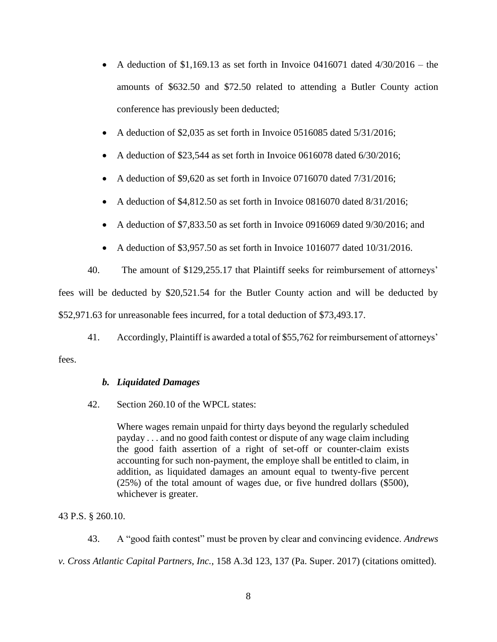- A deduction of \$1,169.13 as set forth in Invoice 0416071 dated  $4/30/2016$  the amounts of \$632.50 and \$72.50 related to attending a Butler County action conference has previously been deducted;
- A deduction of \$2,035 as set forth in Invoice 0516085 dated 5/31/2016;
- A deduction of \$23,544 as set forth in Invoice 0616078 dated 6/30/2016;
- A deduction of \$9,620 as set forth in Invoice 0716070 dated 7/31/2016;
- A deduction of \$4,812.50 as set forth in Invoice 0816070 dated 8/31/2016;
- A deduction of \$7,833.50 as set forth in Invoice 0916069 dated 9/30/2016; and
- A deduction of \$3,957.50 as set forth in Invoice  $1016077$  dated  $10/31/2016$ .

40. The amount of \$129,255.17 that Plaintiff seeks for reimbursement of attorneys' fees will be deducted by \$20,521.54 for the Butler County action and will be deducted by \$52,971.63 for unreasonable fees incurred, for a total deduction of \$73,493.17.

41. Accordingly, Plaintiff is awarded a total of \$55,762 for reimbursement of attorneys'

## fees.

## *b. Liquidated Damages*

42. Section 260.10 of the WPCL states:

Where wages remain unpaid for thirty days beyond the regularly scheduled payday . . . and no good faith contest or dispute of any wage claim including the good faith assertion of a right of set-off or counter-claim exists accounting for such non-payment, the employe shall be entitled to claim, in addition, as liquidated damages an amount equal to twenty-five percent (25%) of the total amount of wages due, or five hundred dollars (\$500), whichever is greater.

43 P.S. § 260.10.

43. A "good faith contest" must be proven by clear and convincing evidence. *Andrews* 

*v. Cross Atlantic Capital Partners, Inc.*, 158 A.3d 123, 137 (Pa. Super. 2017) (citations omitted).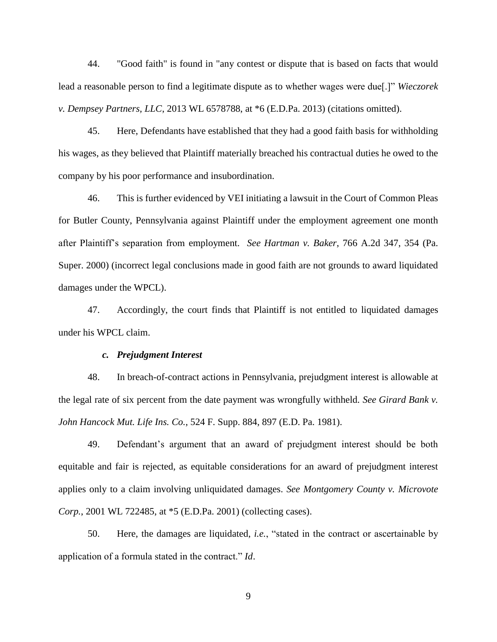44. "Good faith" is found in "any contest or dispute that is based on facts that would lead a reasonable person to find a legitimate dispute as to whether wages were due[.]" *Wieczorek v. Dempsey Partners, LLC*, 2013 WL 6578788, at \*6 (E.D.Pa. 2013) (citations omitted).

45. Here, Defendants have established that they had a good faith basis for withholding his wages, as they believed that Plaintiff materially breached his contractual duties he owed to the company by his poor performance and insubordination.

46. This is further evidenced by VEI initiating a lawsuit in the Court of Common Pleas for Butler County, Pennsylvania against Plaintiff under the employment agreement one month after Plaintiff's separation from employment. *See Hartman v. Baker*, 766 A.2d 347, 354 (Pa. Super. 2000) (incorrect legal conclusions made in good faith are not grounds to award liquidated damages under the WPCL).

47. Accordingly, the court finds that Plaintiff is not entitled to liquidated damages under his WPCL claim.

#### *c. Prejudgment Interest*

48. In breach-of-contract actions in Pennsylvania, prejudgment interest is allowable at the legal rate of six percent from the date payment was wrongfully withheld. *See Girard Bank v. John Hancock Mut. Life Ins. Co.*, 524 F. Supp. 884, 897 (E.D. Pa. 1981).

49. Defendant's argument that an award of prejudgment interest should be both equitable and fair is rejected, as equitable considerations for an award of prejudgment interest applies only to a claim involving unliquidated damages. *See Montgomery County v. Microvote Corp.*, 2001 WL 722485, at \*5 (E.D.Pa. 2001) (collecting cases).

50. Here, the damages are liquidated, *i.e.*, "stated in the contract or ascertainable by application of a formula stated in the contract." *Id*.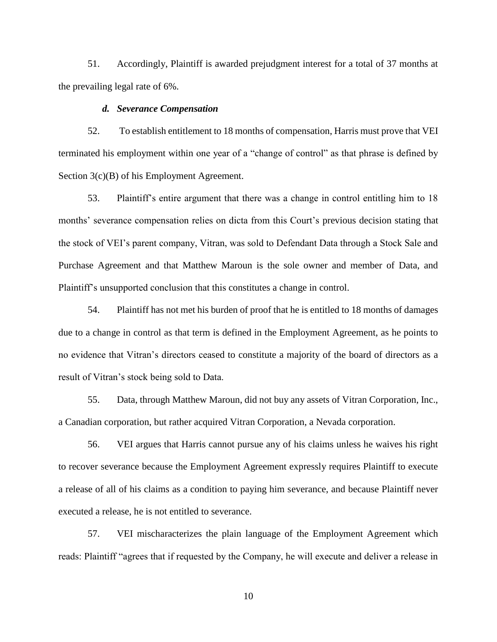51. Accordingly, Plaintiff is awarded prejudgment interest for a total of 37 months at the prevailing legal rate of 6%.

#### *d. Severance Compensation*

52. To establish entitlement to 18 months of compensation, Harris must prove that VEI terminated his employment within one year of a "change of control" as that phrase is defined by Section 3(c)(B) of his Employment Agreement.

53. Plaintiff's entire argument that there was a change in control entitling him to 18 months' severance compensation relies on dicta from this Court's previous decision stating that the stock of VEI's parent company, Vitran, was sold to Defendant Data through a Stock Sale and Purchase Agreement and that Matthew Maroun is the sole owner and member of Data, and Plaintiff's unsupported conclusion that this constitutes a change in control.

54. Plaintiff has not met his burden of proof that he is entitled to 18 months of damages due to a change in control as that term is defined in the Employment Agreement, as he points to no evidence that Vitran's directors ceased to constitute a majority of the board of directors as a result of Vitran's stock being sold to Data.

55. Data, through Matthew Maroun, did not buy any assets of Vitran Corporation, Inc., a Canadian corporation, but rather acquired Vitran Corporation, a Nevada corporation.

56. VEI argues that Harris cannot pursue any of his claims unless he waives his right to recover severance because the Employment Agreement expressly requires Plaintiff to execute a release of all of his claims as a condition to paying him severance, and because Plaintiff never executed a release, he is not entitled to severance.

57. VEI mischaracterizes the plain language of the Employment Agreement which reads: Plaintiff "agrees that if requested by the Company, he will execute and deliver a release in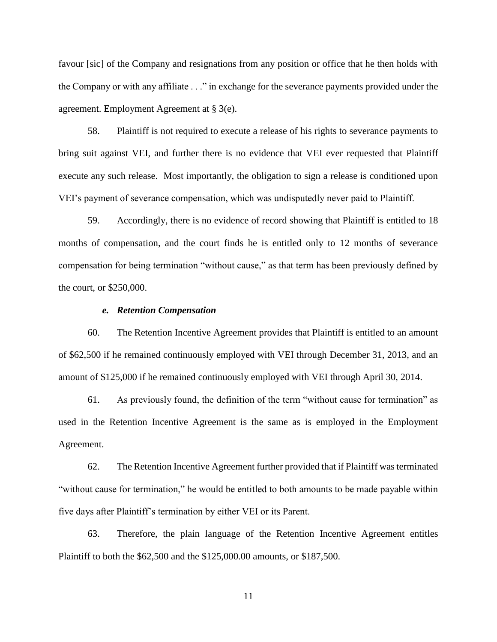favour [sic] of the Company and resignations from any position or office that he then holds with the Company or with any affiliate . . ." in exchange for the severance payments provided under the agreement. Employment Agreement at § 3(e).

58. Plaintiff is not required to execute a release of his rights to severance payments to bring suit against VEI, and further there is no evidence that VEI ever requested that Plaintiff execute any such release. Most importantly, the obligation to sign a release is conditioned upon VEI's payment of severance compensation, which was undisputedly never paid to Plaintiff.

59. Accordingly, there is no evidence of record showing that Plaintiff is entitled to 18 months of compensation, and the court finds he is entitled only to 12 months of severance compensation for being termination "without cause," as that term has been previously defined by the court, or \$250,000.

#### *e. Retention Compensation*

60. The Retention Incentive Agreement provides that Plaintiff is entitled to an amount of \$62,500 if he remained continuously employed with VEI through December 31, 2013, and an amount of \$125,000 if he remained continuously employed with VEI through April 30, 2014.

61. As previously found, the definition of the term "without cause for termination" as used in the Retention Incentive Agreement is the same as is employed in the Employment Agreement.

62. The Retention Incentive Agreement further provided that if Plaintiff was terminated "without cause for termination," he would be entitled to both amounts to be made payable within five days after Plaintiff's termination by either VEI or its Parent.

63. Therefore, the plain language of the Retention Incentive Agreement entitles Plaintiff to both the \$62,500 and the \$125,000.00 amounts, or \$187,500.